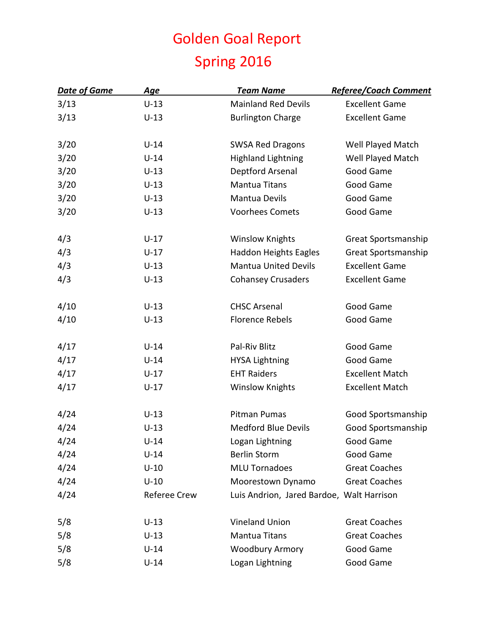## Golden Goal Report Spring 2016

| <b>Date of Game</b> | <u>Age</u>          | <b>Team Name</b>                          | <b>Referee/Coach Comment</b> |
|---------------------|---------------------|-------------------------------------------|------------------------------|
| 3/13                | $U-13$              | <b>Mainland Red Devils</b>                | <b>Excellent Game</b>        |
| 3/13                | $U-13$              | <b>Burlington Charge</b>                  | <b>Excellent Game</b>        |
| 3/20                | $U-14$              | <b>SWSA Red Dragons</b>                   | Well Played Match            |
| 3/20                | $U-14$              | <b>Highland Lightning</b>                 | Well Played Match            |
| 3/20                | $U-13$              | Deptford Arsenal                          | Good Game                    |
| 3/20                | $U-13$              | <b>Mantua Titans</b>                      | Good Game                    |
| 3/20                | $U-13$              | <b>Mantua Devils</b>                      | Good Game                    |
| 3/20                | $U-13$              | <b>Voorhees Comets</b>                    | Good Game                    |
| 4/3                 | $U-17$              | <b>Winslow Knights</b>                    | Great Sportsmanship          |
| 4/3                 | $U-17$              | <b>Haddon Heights Eagles</b>              | Great Sportsmanship          |
| 4/3                 | $U-13$              | <b>Mantua United Devils</b>               | <b>Excellent Game</b>        |
| 4/3                 | $U-13$              | <b>Cohansey Crusaders</b>                 | <b>Excellent Game</b>        |
| 4/10                | $U-13$              | <b>CHSC Arsenal</b>                       | Good Game                    |
| 4/10                | $U-13$              | <b>Florence Rebels</b>                    | Good Game                    |
| 4/17                | $U-14$              | Pal-Riv Blitz                             | Good Game                    |
| 4/17                | $U-14$              | <b>HYSA Lightning</b>                     | Good Game                    |
| 4/17                | $U-17$              | <b>EHT Raiders</b>                        | <b>Excellent Match</b>       |
| 4/17                | $U-17$              | <b>Winslow Knights</b>                    | <b>Excellent Match</b>       |
| 4/24                | $U-13$              | Pitman Pumas                              | Good Sportsmanship           |
| 4/24                | $U-13$              | <b>Medford Blue Devils</b>                | Good Sportsmanship           |
| 4/24                | $U-14$              | Logan Lightning                           | Good Game                    |
| 4/24                | $U-14$              | <b>Berlin Storm</b>                       | Good Game                    |
| 4/24                | $U-10$              | <b>MLU Tornadoes</b>                      | <b>Great Coaches</b>         |
| 4/24                | $U-10$              | Moorestown Dynamo                         | <b>Great Coaches</b>         |
| 4/24                | <b>Referee Crew</b> | Luis Andrion, Jared Bardoe, Walt Harrison |                              |
| 5/8                 | $U-13$              | <b>Vineland Union</b>                     | <b>Great Coaches</b>         |
| 5/8                 | $U-13$              | <b>Mantua Titans</b>                      | <b>Great Coaches</b>         |
| 5/8                 | $U-14$              | <b>Woodbury Armory</b>                    | Good Game                    |
| 5/8                 | $U-14$              | Logan Lightning                           | Good Game                    |